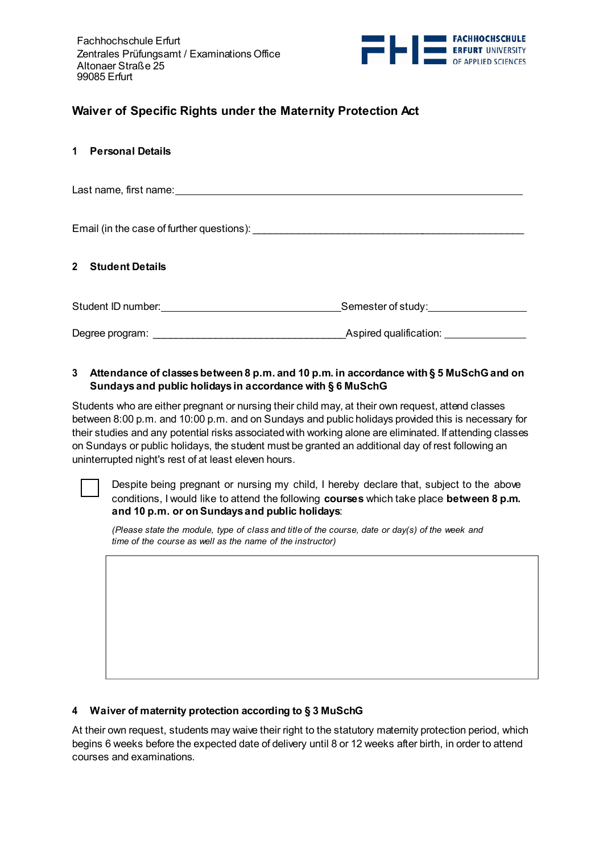

# **Waiver of Specific Rights under the Maternity Protection Act**

# **1 Personal Details**

Last name, first name:

Email (in the case of further questions): \_\_\_\_\_\_\_\_\_\_\_\_\_\_\_\_\_\_\_\_\_\_\_\_\_\_\_\_\_\_\_\_\_\_\_\_\_\_\_\_\_\_\_\_\_\_\_\_

### **2 Student Details**

Student ID number: Semester of study: Degree program:  $\blacksquare$ 

# **3 Attendance of classes between 8 p.m. and 10 p.m. in accordance with § 5 MuSchGand on Sundays and public holidays in accordance with § 6 MuSchG**

Students who are either pregnant or nursing their child may, at their own request, attend classes between 8:00 p.m. and 10:00 p.m. and on Sundays and public holidays provided this is necessary for their studies and any potential risks associated with working alone are eliminated. If attending classes on Sundays or public holidays, the student must be granted an additional day of rest following an uninterrupted night's rest of at least eleven hours.

Despite being pregnant or nursing my child, I hereby declare that, subject to the above conditions, I would like to attend the following **courses** which take place **between 8 p.m. and 10 p.m. or on Sundays and public holidays**:

*(Please state the module, type of class and title of the course, date or day(s) of the week and time of the course as well as the name of the instructor)*

### **4 Waiver of maternity protection according to § 3 MuSchG**

At their own request, students may waive their right to the statutory maternity protection period, which begins 6 weeks before the expected date of delivery until 8 or 12 weeks after birth, in order to attend courses and examinations.